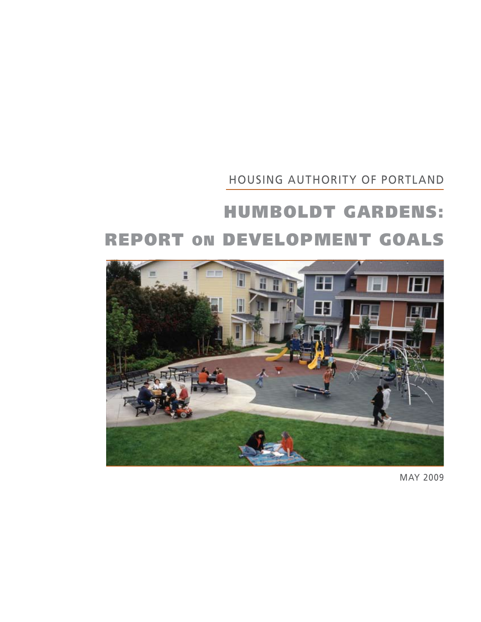#### HOUSING AUTHORITY OF PORTLAND

# HUMBOLDT GARDENS: REPORT ON DEVELOPMENT GOALS



MAY 2009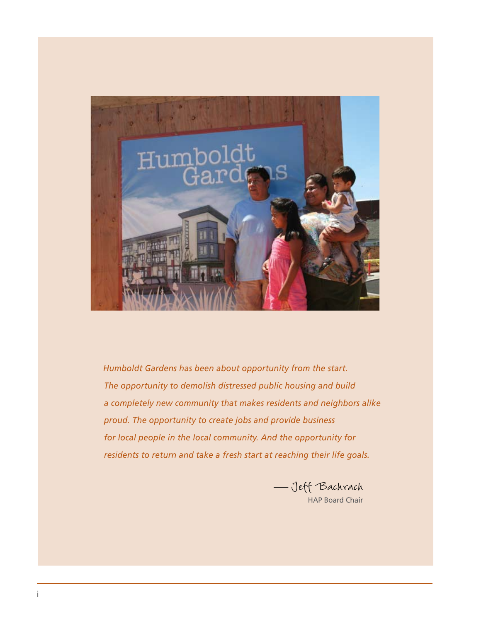

*Humboldt Gardens has been about opportunity from the start. The opportunity to demolish distressed public housing and build a completely new community that makes residents and neighbors alike proud. The opportunity to create jobs and provide business for local people in the local community. And the opportunity for residents to return and take a fresh start at reaching their life goals.* 

—Jeff Bachrach HAP Board Chair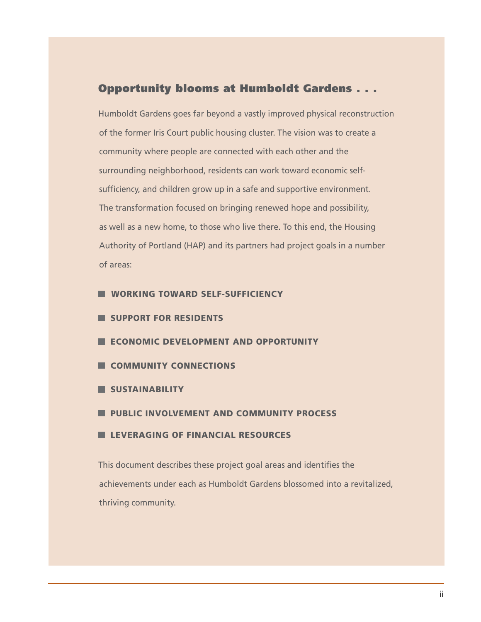#### Opportunity blooms at Humboldt Gardens . . .

Humboldt Gardens goes far beyond a vastly improved physical reconstruction of the former Iris Court public housing cluster. The vision was to create a community where people are connected with each other and the surrounding neighborhood, residents can work toward economic selfsufficiency, and children grow up in a safe and supportive environment. The transformation focused on bringing renewed hope and possibility, as well as a new home, to those who live there. To this end, the Housing Authority of Portland (HAP) and its partners had project goals in a number of areas:

- **WORKING TOWARD SELF-SUFFICIENCY**
- **SUPPORT FOR RESIDENTS**
- **EXECONOMIC DEVELOPMENT AND OPPORTUNITY**
- COMMUNITY CONNECTIONS
- SUSTAINABILITY
- **PUBLIC INVOLVEMENT AND COMMUNITY PROCESS**
- **LEVERAGING OF FINANCIAL RESOURCES**

This document describes these project goal areas and identifies the achievements under each as Humboldt Gardens blossomed into a revitalized, thriving community.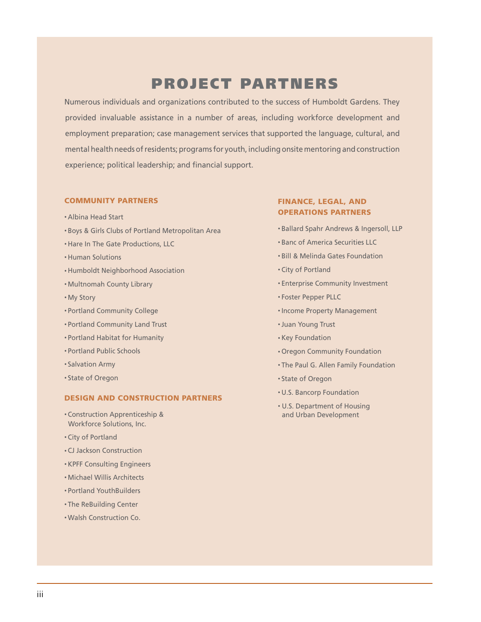#### PROJECT PARTNERS

Numerous individuals and organizations contributed to the success of Humboldt Gardens. They provided invaluable assistance in a number of areas, including workforce development and employment preparation; case management services that supported the language, cultural, and mental health needs of residents; programs for youth, including onsite mentoring and construction experience; political leadership; and financial support.

#### COMMUNITY PARTNERS

- Albina Head Start
- Boys & Girls Clubs of Portland Metropolitan Area
- Hare In The Gate Productions, LLC
- Human Solutions
- Humboldt Neighborhood Association
- Multnomah County Library
- My Story
- Portland Community College
- Portland Community Land Trust
- Portland Habitat for Humanity
- Portland Public Schools
- Salvation Army
- State of Oregon

#### DESIGN AND CONSTRUCTION PARTNERS

- Construction Apprenticeship & Workforce Solutions, Inc.
- City of Portland
- CJ Jackson Construction
- KPFF Consulting Engineers
- Michael Willis Architects
- Portland YouthBuilders
- The ReBuilding Center
- Walsh Construction Co.

#### FINANCE, LEGAL, AND OPERATIONS PARTNERS

- Ballard Spahr Andrews & Ingersoll, LLP
- Banc of America Securities LLC
- Bill & Melinda Gates Foundation
- City of Portland
- Enterprise Community Investment
- Foster Pepper PLLC
- Income Property Management
- Juan Young Trust
- Key Foundation
- Oregon Community Foundation
- The Paul G. Allen Family Foundation
- State of Oregon
- U.S. Bancorp Foundation
- U.S. Department of Housing and Urban Development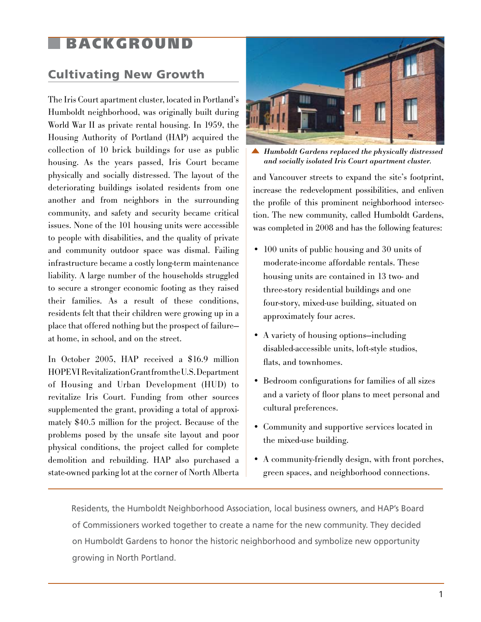#### **BACKGROUND**

#### Cultivating New Growth

The Iris Court apartment cluster, located in Portland's Humboldt neighborhood, was originally built during World War II as private rental housing. In 1959, the Housing Authority of Portland (HAP) acquired the collection of 10 brick buildings for use as public housing. As the years passed, Iris Court became physically and socially distressed. The layout of the deteriorating buildings isolated residents from one another and from neighbors in the surrounding community, and safety and security became critical issues. None of the 101 housing units were accessible to people with disabilities, and the quality of private and community outdoor space was dismal. Failing infrastructure became a costly long-term maintenance liability. A large number of the households struggled to secure a stronger economic footing as they raised their families. As a result of these conditions, residents felt that their children were growing up in a place that offered nothing but the prospect of failure at home, in school, and on the street.

In October 2005, HAP received a \$16.9 million HOPE VI Revitalization Grant from the U.S. Department of Housing and Urban Development (HUD) to revitalize Iris Court. Funding from other sources supplemented the grant, providing a total of approximately \$40.5 million for the project. Because of the problems posed by the unsafe site layout and poor physical conditions, the project called for complete demolition and rebuilding. HAP also purchased a state-owned parking lot at the corner of North Alberta



*Humboldt Gardens replaced the physically distressed and socially isolated Iris Court apartment cluster.*

and Vancouver streets to expand the site's footprint, increase the redevelopment possibilities, and enliven the profile of this prominent neighborhood intersection. The new community, called Humboldt Gardens, was completed in 2008 and has the following features:

- 100 units of public housing and 30 units of moderate-income affordable rentals. These housing units are contained in 13 two- and three-story residential buildings and one four-story, mixed-use building, situated on approximately four acres.
- A variety of housing options—including disabled-accessible units, loft-style studios, flats, and townhomes.
- Bedroom configurations for families of all sizes and a variety of floor plans to meet personal and cultural preferences.
- • Community and supportive services located in the mixed-use building.
- A community-friendly design, with front porches, green spaces, and neighborhood connections.

Residents, the Humboldt Neighborhood Association, local business owners, and HAP's Board of Commissioners worked together to create a name for the new community. They decided on Humboldt Gardens to honor the historic neighborhood and symbolize new opportunity growing in North Portland.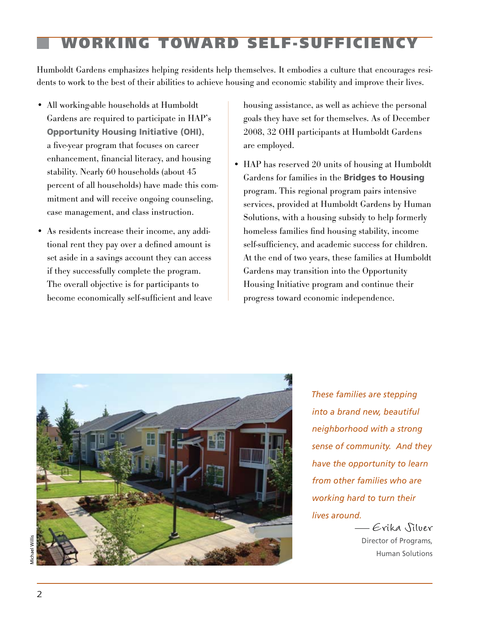## WORKING TOWARD SELF-SUFFICIENCY

Humboldt Gardens emphasizes helping residents help themselves. It embodies a culture that encourages residents to work to the best of their abilities to achieve housing and economic stability and improve their lives.

- All working-able households at Humboldt Gardens are required to participate in HAP's Opportunity Housing Initiative (OHI), a five-year program that focuses on career enhancement, financial literacy, and housing stability. Nearly 60 households (about 45 percent of all households) have made this commitment and will receive ongoing counseling, case management, and class instruction.
- As residents increase their income, any additional rent they pay over a defined amount is set aside in a savings account they can access if they successfully complete the program. The overall objective is for participants to become economically self-sufficient and leave

housing assistance, as well as achieve the personal goals they have set for themselves. As of December 2008, 32 OHI participants at Humboldt Gardens are employed.

• HAP has reserved 20 units of housing at Humboldt Gardens for families in the Bridges to Housing program. This regional program pairs intensive services, provided at Humboldt Gardens by Human Solutions, with a housing subsidy to help formerly homeless families find housing stability, income self-sufficiency, and academic success for children. At the end of two years, these families at Humboldt Gardens may transition into the Opportunity Housing Initiative program and continue their progress toward economic independence.



*These families are stepping into a brand new, beautiful neighborhood with a strong sense of community. And they have the opportunity to learn from other families who are working hard to turn their lives around.* 

> —Erika Silver Director of Programs, Human Solutions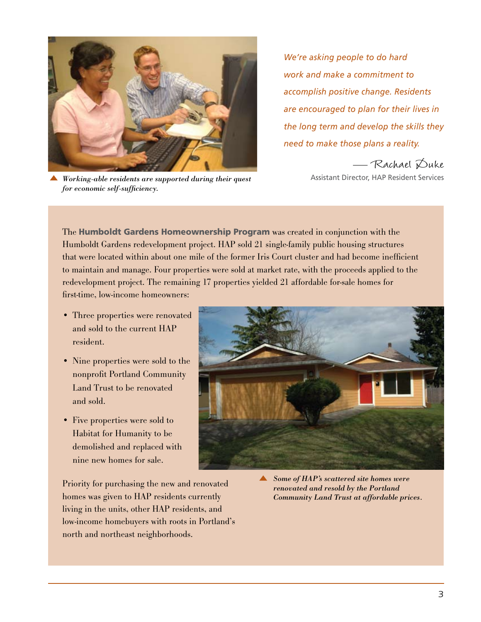

**A** Working-able residents are supported during their quest *for economic self-sufficiency.*

*We're asking people to do hard work and make a commitment to accomplish positive change. Residents are encouraged to plan for their lives in the long term and develop the skills they need to make those plans a reality.*

Gachael Duke<br>Assistant Director, HAP Resident Services

The **Humboldt Gardens Homeownership Program** was created in conjunction with the Humboldt Gardens redevelopment project. HAP sold 21 single-family public housing structures that were located within about one mile of the former Iris Court cluster and had become inefficient to maintain and manage. Four properties were sold at market rate, with the proceeds applied to the redevelopment project. The remaining 17 properties yielded 21 affordable for-sale homes for first-time, low-income homeowners:

- Three properties were renovated and sold to the current HAP resident.
- Nine properties were sold to the nonprofit Portland Community Land Trust to be renovated and sold.
- Five properties were sold to Habitat for Humanity to be demolished and replaced with nine new homes for sale.

Priority for purchasing the new and renovated homes was given to HAP residents currently living in the units, other HAP residents, and low-income homebuyers with roots in Portland's north and northeast neighborhoods.



*Some of HAP's scattered site homes were renovated and resold by the Portland Community Land Trust at affordable prices.*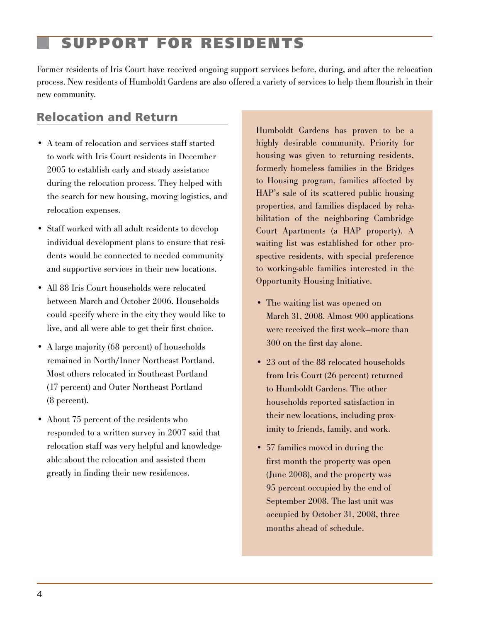### SUPPORT FOR RESIDENTS

Former residents of Iris Court have received ongoing support services before, during, and after the relocation process. New residents of Humboldt Gardens are also offered a variety of services to help them flourish in their new community.

#### Relocation and Return

- A team of relocation and services staff started to work with Iris Court residents in December 2005 to establish early and steady assistance during the relocation process. They helped with the search for new housing, moving logistics, and relocation expenses.
- Staff worked with all adult residents to develop individual development plans to ensure that residents would be connected to needed community and supportive services in their new locations.
- All 88 Iris Court households were relocated between March and October 2006. Households could specify where in the city they would like to live, and all were able to get their first choice.
- A large majority (68 percent) of households remained in North/Inner Northeast Portland. Most others relocated in Southeast Portland (17 percent) and Outer Northeast Portland (8 percent).
- About 75 percent of the residents who responded to a written survey in 2007 said that relocation staff was very helpful and knowledgeable about the relocation and assisted them greatly in finding their new residences.

Humboldt Gardens has proven to be a highly desirable community. Priority for housing was given to returning residents, formerly homeless families in the Bridges to Housing program, families affected by HAP's sale of its scattered public housing properties, and families displaced by rehabilitation of the neighboring Cambridge Court Apartments (a HAP property). A waiting list was established for other prospective residents, with special preference to working-able families interested in the Opportunity Housing Initiative.

- The waiting list was opened on March 31, 2008. Almost 900 applications were received the first week—more than 300 on the first day alone.
- 23 out of the 88 relocated households from Iris Court (26 percent) returned to Humboldt Gardens. The other households reported satisfaction in their new locations, including proximity to friends, family, and work.
- 57 families moved in during the first month the property was open (June 2008), and the property was 95 percent occupied by the end of September 2008. The last unit was occupied by October 31, 2008, three months ahead of schedule.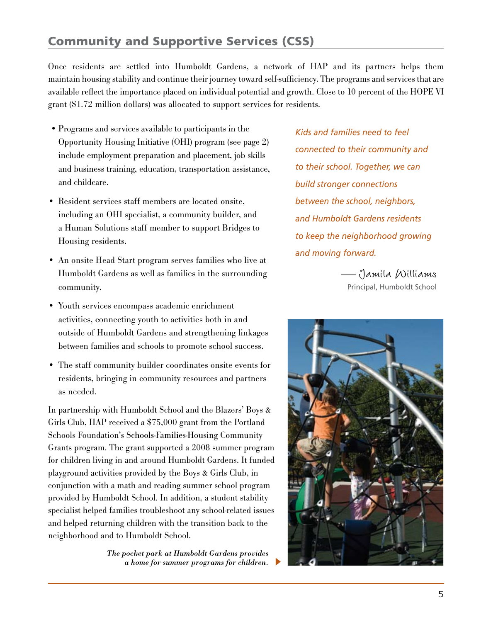#### Community and Supportive Services (CSS)

Once residents are settled into Humboldt Gardens, a network of HAP and its partners helps them maintain housing stability and continue their journey toward self-sufficiency. The programs and services that are available reflect the importance placed on individual potential and growth. Close to 10 percent of the HOPE VI grant (\$1.72 million dollars) was allocated to support services for residents.

- • Programs and services available to participants in the Opportunity Housing Initiative (OHI) program (see page 2) include employment preparation and placement, job skills and business training, education, transportation assistance, and childcare.
- Resident services staff members are located onsite. including an OHI specialist, a community builder, and a Human Solutions staff member to support Bridges to Housing residents.
- An onsite Head Start program serves families who live at Humboldt Gardens as well as families in the surrounding community.
- • Youth services encompass academic enrichment activities, connecting youth to activities both in and outside of Humboldt Gardens and strengthening linkages between families and schools to promote school success.
- The staff community builder coordinates onsite events for residents, bringing in community resources and partners as needed.

In partnership with Humboldt School and the Blazers' Boys & Girls Club, HAP received a \$75,000 grant from the Portland Schools Foundation's Schools-Families-Housing Community Grants program. The grant supported a 2008 summer program for children living in and around Humboldt Gardens. It funded playground activities provided by the Boys & Girls Club, in conjunction with a math and reading summer school program provided by Humboldt School. In addition, a student stability specialist helped families troubleshoot any school-related issues and helped returning children with the transition back to the neighborhood and to Humboldt School.

> *The pocket park at Humboldt Gardens provides a home for summer programs for children.*

 *Kids and families need to feel connected to their community and to their school. Together, we can build stronger connections between the school, neighbors, and Humboldt Gardens residents to keep the neighborhood growing and moving forward.*

> —Jamila Williams Principal, Humboldt School

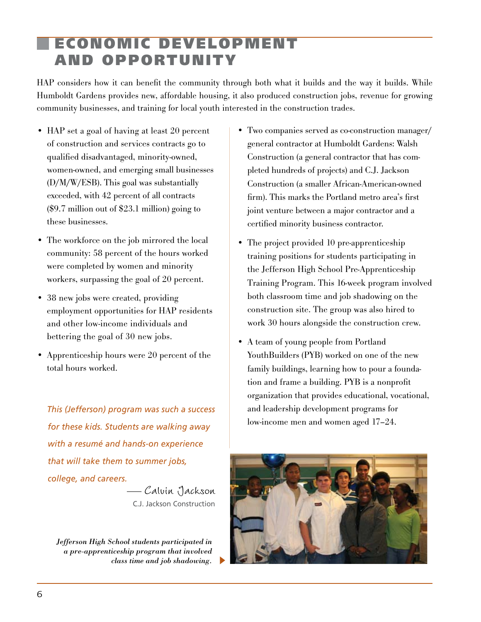### **MIC DEVELOPMENT** AND OPPORTUNITY

HAP considers how it can benefit the community through both what it builds and the way it builds. While Humboldt Gardens provides new, affordable housing, it also produced construction jobs, revenue for growing community businesses, and training for local youth interested in the construction trades.

- HAP set a goal of having at least 20 percent of construction and services contracts go to qualified disadvantaged, minority-owned, women-owned, and emerging small businesses (D/M/W/ESB). This goal was substantially exceeded, with 42 percent of all contracts (\$9.7 million out of \$23.1 million) going to these businesses.
- The workforce on the job mirrored the local community: 58 percent of the hours worked were completed by women and minority workers, surpassing the goal of 20 percent.
- 38 new jobs were created, providing employment opportunities for HAP residents and other low-income individuals and bettering the goal of 30 new jobs.
- • Apprenticeship hours were 20 percent of the total hours worked.

*This (Jefferson) program was such a success for these kids. Students are walking away with a resumé and hands-on experience that will take them to summer jobs, college, and careers.*

—Calvin Jackson C.J. Jackson Construction

*Jefferson High School students participated in a pre-apprenticeship program that involved class time and job shadowing.*

- • Two companies served as co-construction manager/ general contractor at Humboldt Gardens: Walsh Construction (a general contractor that has completed hundreds of projects) and C.J. Jackson Construction (a smaller African-American-owned firm). This marks the Portland metro area's first joint venture between a major contractor and a certified minority business contractor.
- The project provided 10 pre-apprenticeship training positions for students participating in the Jefferson High School Pre-Apprenticeship Training Program. This 16-week program involved both classroom time and job shadowing on the construction site. The group was also hired to work 30 hours alongside the construction crew.
- • A team of young people from Portland YouthBuilders (PYB) worked on one of the new family buildings, learning how to pour a foundation and frame a building. PYB is a nonprofit organization that provides educational, vocational, and leadership development programs for low-income men and women aged 17–24.

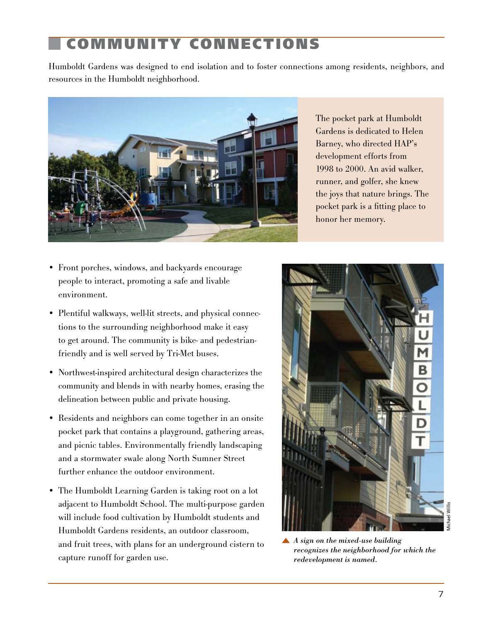# ONNECT

Humboldt Gardens was designed to end isolation and to foster connections among residents, neighbors, and resources in the Humboldt neighborhood.



The pocket park at Humboldt Gardens is dedicated to Helen Barney, who directed HAP's development efforts from 1998 to 2000. An avid walker, runner, and golfer, she knew the joys that nature brings. The pocket park is a fitting place to honor her memory.

- Front porches, windows, and backyards encourage people to interact, promoting a safe and livable environment.
- Plentiful walkways, well-lit streets, and physical connections to the surrounding neighborhood make it easy to get around. The community is bike- and pedestrianfriendly and is well served by Tri-Met buses.
- Northwest-inspired architectural design characterizes the community and blends in with nearby homes, erasing the delineation between public and private housing.
- Residents and neighbors can come together in an onsite pocket park that contains a playground, gathering areas, and picnic tables. Environmentally friendly landscaping and a stormwater swale along North Sumner Street further enhance the outdoor environment.
- The Humboldt Learning Garden is taking root on a lot adjacent to Humboldt School. The multi-purpose garden will include food cultivation by Humboldt students and Humboldt Gardens residents, an outdoor classroom, and fruit trees, with plans for an underground cistern to capture runoff for garden use.



*A sign on the mixed-use building recognizes the neighborhood for which the redevelopment is named.*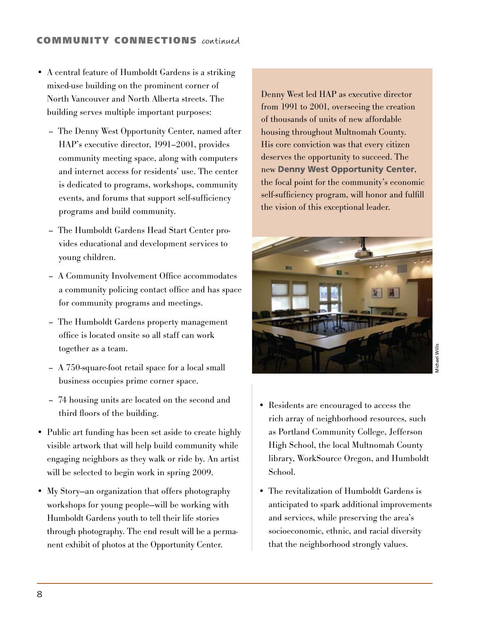- • A central feature of Humboldt Gardens is a striking mixed-use building on the prominent corner of North Vancouver and North Alberta streets. The building serves multiple important purposes:
	- The Denny West Opportunity Center, named after HAP's executive director, 1991–2001, provides community meeting space, along with computers and internet access for residents' use. The center is dedicated to programs, workshops, community events, and forums that support self-sufficiency programs and build community.
	- The Humboldt Gardens Head Start Center provides educational and development services to young children.
	- A Community Involvement Office accommodates a community policing contact office and has space for community programs and meetings.
	- The Humboldt Gardens property management office is located onsite so all staff can work together as a team.
	- A 750-square-foot retail space for a local small business occupies prime corner space.
	- 74 housing units are located on the second and third floors of the building.
- Public art funding has been set aside to create highly visible artwork that will help build community while engaging neighbors as they walk or ride by. An artist will be selected to begin work in spring 2009.
- • My Story—an organization that offers photography workshops for young people—will be working with Humboldt Gardens youth to tell their life stories through photography. The end result will be a permanent exhibit of photos at the Opportunity Center.

Denny West led HAP as executive director from 1991 to 2001, overseeing the creation of thousands of units of new affordable housing throughout Multnomah County. His core conviction was that every citizen deserves the opportunity to succeed. The new Denny West Opportunity Center, the focal point for the community's economic self-sufficiency program, will honor and fulfill the vision of this exceptional leader.



- • Residents are encouraged to access the rich array of neighborhood resources, such as Portland Community College, Jefferson High School, the local Multnomah County library, WorkSource Oregon, and Humboldt School.
- The revitalization of Humboldt Gardens is anticipated to spark additional improvements and services, while preserving the area's socioeconomic, ethnic, and racial diversity that the neighborhood strongly values.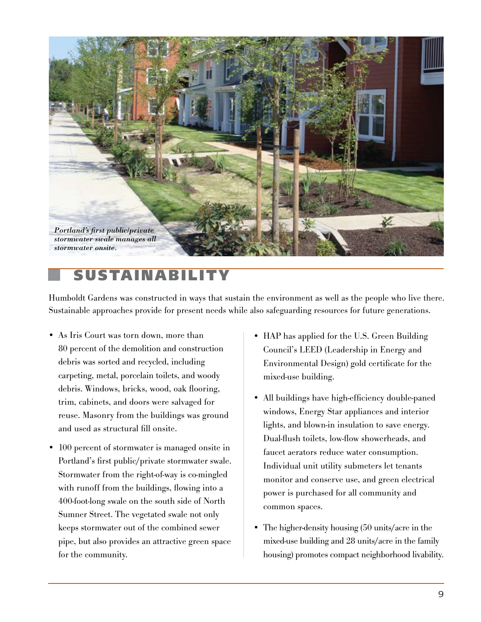

# **SUSTAINABILITY**

Humboldt Gardens was constructed in ways that sustain the environment as well as the people who live there. Sustainable approaches provide for present needs while also safeguarding resources for future generations.

- As Iris Court was torn down, more than 80 percent of the demolition and construction debris was sorted and recycled, including carpeting, metal, porcelain toilets, and woody debris. Windows, bricks, wood, oak flooring, trim, cabinets, and doors were salvaged for reuse. Masonry from the buildings was ground and used as structural fill onsite.
- 100 percent of stormwater is managed onsite in Portland's first public/private stormwater swale. Stormwater from the right-of-way is co-mingled with runoff from the buildings, flowing into a 400-foot-long swale on the south side of North Sumner Street. The vegetated swale not only keeps stormwater out of the combined sewer pipe, but also provides an attractive green space for the community.
- HAP has applied for the U.S. Green Building Council's LEED (Leadership in Energy and Environmental Design) gold certificate for the mixed-use building.
- All buildings have high-efficiency double-paned windows, Energy Star appliances and interior lights, and blown-in insulation to save energy. Dual-flush toilets, low-flow showerheads, and faucet aerators reduce water consumption. Individual unit utility submeters let tenants monitor and conserve use, and green electrical power is purchased for all community and common spaces.
- The higher-density housing (50 units/acre in the mixed-use building and 28 units/acre in the family housing) promotes compact neighborhood livability.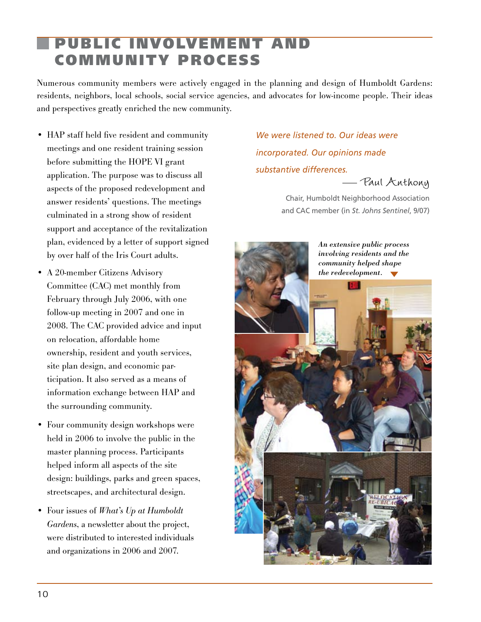## VOLVEMENT AND COMMUNITY PROCESS

Numerous community members were actively engaged in the planning and design of Humboldt Gardens: residents, neighbors, local schools, social service agencies, and advocates for low-income people. Their ideas and perspectives greatly enriched the new community.

- HAP staff held five resident and community meetings and one resident training session before submitting the HOPE VI grant application. The purpose was to discuss all aspects of the proposed redevelopment and answer residents' questions. The meetings culminated in a strong show of resident support and acceptance of the revitalization plan, evidenced by a letter of support signed by over half of the Iris Court adults.
- A 20-member Citizens Advisory Committee (CAC) met monthly from February through July 2006, with one follow-up meeting in 2007 and one in 2008. The CAC provided advice and input on relocation, affordable home ownership, resident and youth services, site plan design, and economic participation. It also served as a means of information exchange between HAP and the surrounding community.
- Four community design workshops were held in 2006 to involve the public in the master planning process. Participants helped inform all aspects of the site design: buildings, parks and green spaces, streetscapes, and architectural design.
- • Four issues of *What's Up at Humboldt Gardens*, a newsletter about the project, were distributed to interested individuals and organizations in 2006 and 2007.

 *We were listened to. Our ideas were incorporated. Our opinions made substantive differences.*

—Paul Anthony

Chair, Humboldt Neighborhood Association and CAC member (in *St. Johns Sentinel*, 9/07)

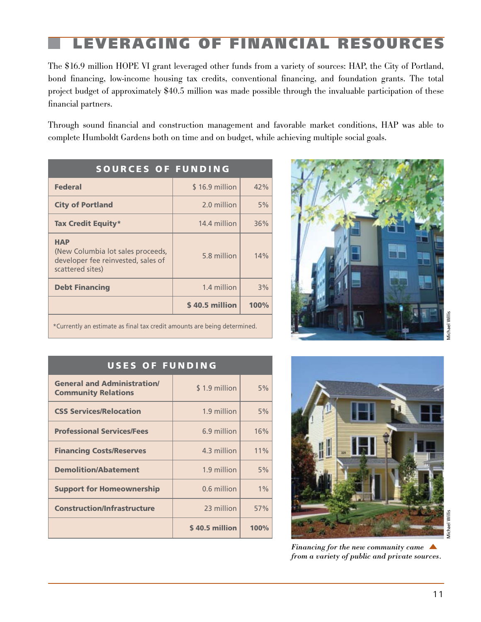# LEVERAGING OF FINANCIAL RESOURCES

The \$16.9 million HOPE VI grant leveraged other funds from a variety of sources: HAP, the City of Portland, bond financing, low-income housing tax credits, conventional financing, and foundation grants. The total project budget of approximately \$40.5 million was made possible through the invaluable participation of these financial partners.

Through sound financial and construction management and favorable market conditions, HAP was able to complete Humboldt Gardens both on time and on budget, while achieving multiple social goals.

| <b>SOURCES OF FUNDING</b>                                                                                 |                 |      |
|-----------------------------------------------------------------------------------------------------------|-----------------|------|
| <b>Federal</b>                                                                                            | $$16.9$ million | 42%  |
| <b>City of Portland</b>                                                                                   | 2.0 million     | 5%   |
| <b>Tax Credit Equity*</b>                                                                                 | 14.4 million    | 36%  |
| <b>HAP</b><br>(New Columbia lot sales proceeds,<br>developer fee reinvested, sales of<br>scattered sites) | 5.8 million     | 14%  |
| <b>Debt Financing</b>                                                                                     | 1.4 million     | 3%   |
|                                                                                                           | \$40.5 million  | 100% |
|                                                                                                           |                 |      |



| <b>General and Administration/</b><br>\$1.9 million<br><b>Community Relations</b><br>1.9 million<br><b>CSS Services/Relocation</b><br>6.9 million<br><b>Professional Services/Fees</b><br><b>Financing Costs/Reserves</b><br>4.3 million<br><b>Demolition/Abatement</b><br>1.9 million<br><b>Support for Homeownership</b><br>0.6 million<br><b>Construction/Infrastructure</b><br>23 million<br>$$40.5$ million | <b>USES OF FUNDING</b> |  |      |  |  |
|------------------------------------------------------------------------------------------------------------------------------------------------------------------------------------------------------------------------------------------------------------------------------------------------------------------------------------------------------------------------------------------------------------------|------------------------|--|------|--|--|
|                                                                                                                                                                                                                                                                                                                                                                                                                  |                        |  | 5%   |  |  |
|                                                                                                                                                                                                                                                                                                                                                                                                                  |                        |  | 5%   |  |  |
|                                                                                                                                                                                                                                                                                                                                                                                                                  |                        |  | 16%  |  |  |
|                                                                                                                                                                                                                                                                                                                                                                                                                  |                        |  | 11%  |  |  |
|                                                                                                                                                                                                                                                                                                                                                                                                                  |                        |  | 5%   |  |  |
|                                                                                                                                                                                                                                                                                                                                                                                                                  |                        |  | 1%   |  |  |
|                                                                                                                                                                                                                                                                                                                                                                                                                  |                        |  | 57%  |  |  |
|                                                                                                                                                                                                                                                                                                                                                                                                                  |                        |  | 100% |  |  |



*Financing for the new community came from a variety of public and private sources.*

Aichael Willis